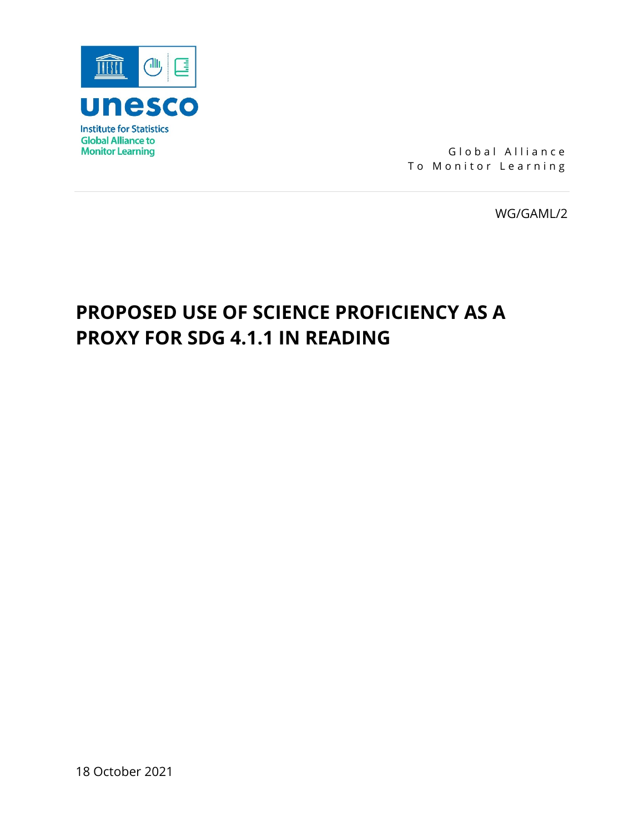

Global Alliance To Monitor Learning

WG/GAML/2

# **PROPOSED USE OF SCIENCE PROFICIENCY AS A PROXY FOR SDG 4.1.1 IN READING**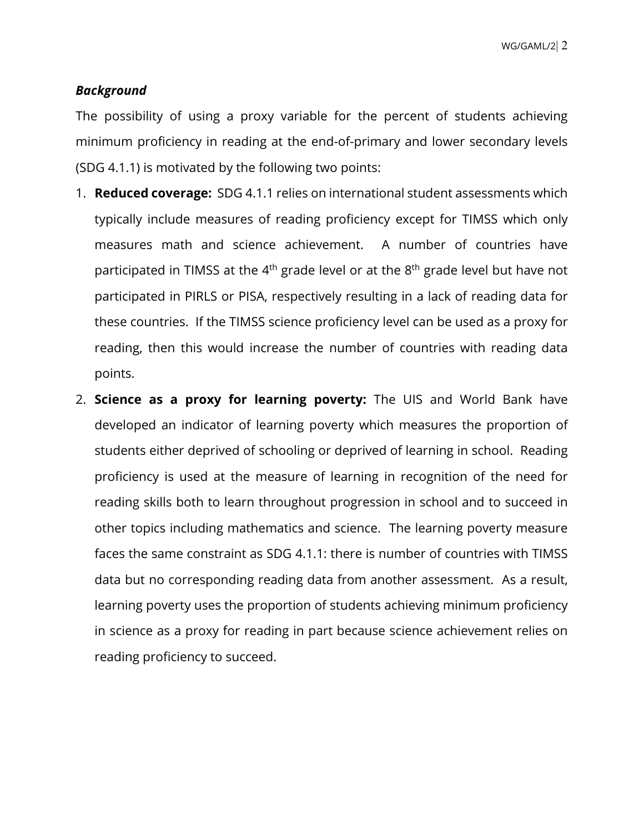# *Background*

The possibility of using a proxy variable for the percent of students achieving minimum proficiency in reading at the end-of-primary and lower secondary levels (SDG 4.1.1) is motivated by the following two points:

- 1. **Reduced coverage:** SDG 4.1.1 relies on international student assessments which typically include measures of reading proficiency except for TIMSS which only measures math and science achievement. A number of countries have participated in TIMSS at the  $4<sup>th</sup>$  grade level or at the  $8<sup>th</sup>$  grade level but have not participated in PIRLS or PISA, respectively resulting in a lack of reading data for these countries. If the TIMSS science proficiency level can be used as a proxy for reading, then this would increase the number of countries with reading data points.
- 2. **Science as a proxy for learning poverty:** The UIS and World Bank have developed an indicator of learning poverty which measures the proportion of students either deprived of schooling or deprived of learning in school. Reading proficiency is used at the measure of learning in recognition of the need for reading skills both to learn throughout progression in school and to succeed in other topics including mathematics and science. The learning poverty measure faces the same constraint as SDG 4.1.1: there is number of countries with TIMSS data but no corresponding reading data from another assessment. As a result, learning poverty uses the proportion of students achieving minimum proficiency in science as a proxy for reading in part because science achievement relies on reading proficiency to succeed.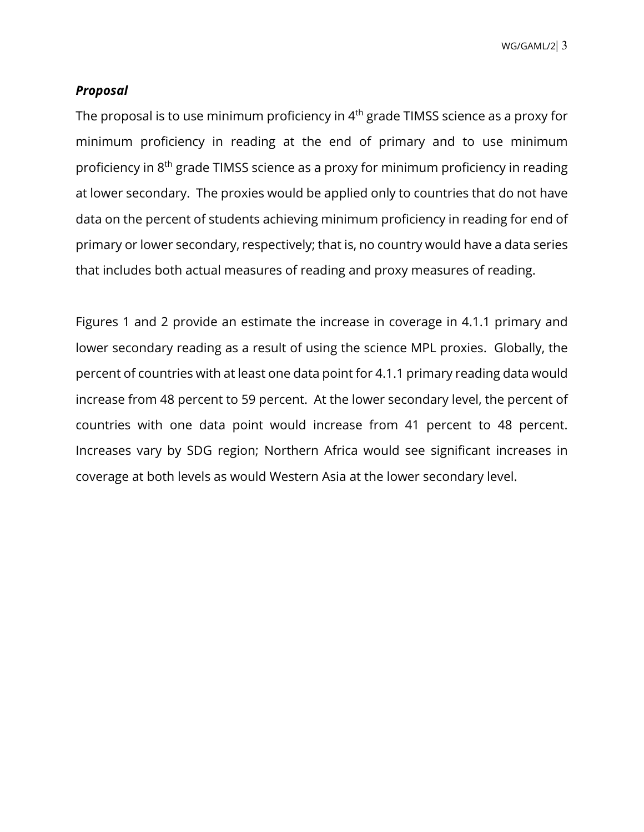WG/GAML/2| 3

### *Proposal*

The proposal is to use minimum proficiency in 4<sup>th</sup> grade TIMSS science as a proxy for minimum proficiency in reading at the end of primary and to use minimum proficiency in 8th grade TIMSS science as a proxy for minimum proficiency in reading at lower secondary. The proxies would be applied only to countries that do not have data on the percent of students achieving minimum proficiency in reading for end of primary or lower secondary, respectively; that is, no country would have a data series that includes both actual measures of reading and proxy measures of reading.

Figures 1 and 2 provide an estimate the increase in coverage in 4.1.1 primary and lower secondary reading as a result of using the science MPL proxies. Globally, the percent of countries with at least one data point for 4.1.1 primary reading data would increase from 48 percent to 59 percent. At the lower secondary level, the percent of countries with one data point would increase from 41 percent to 48 percent. Increases vary by SDG region; Northern Africa would see significant increases in coverage at both levels as would Western Asia at the lower secondary level.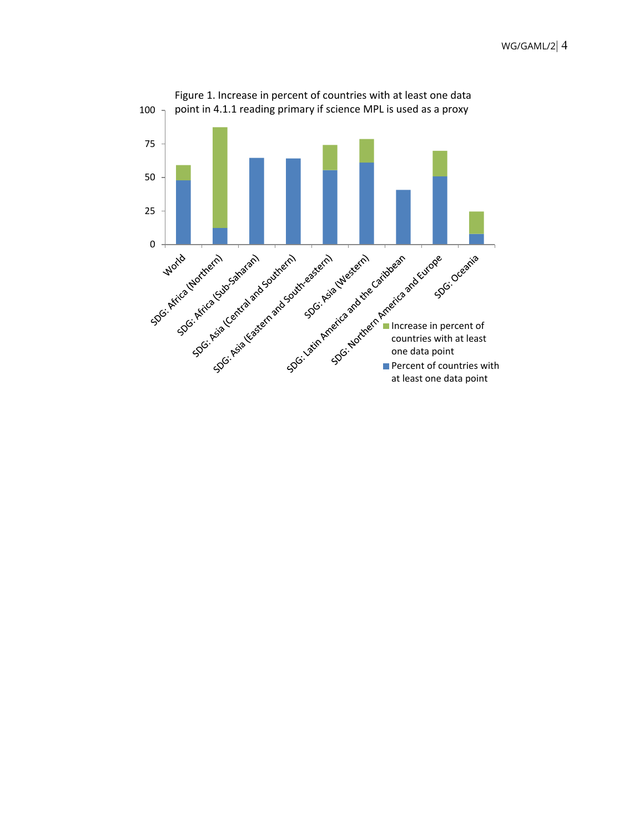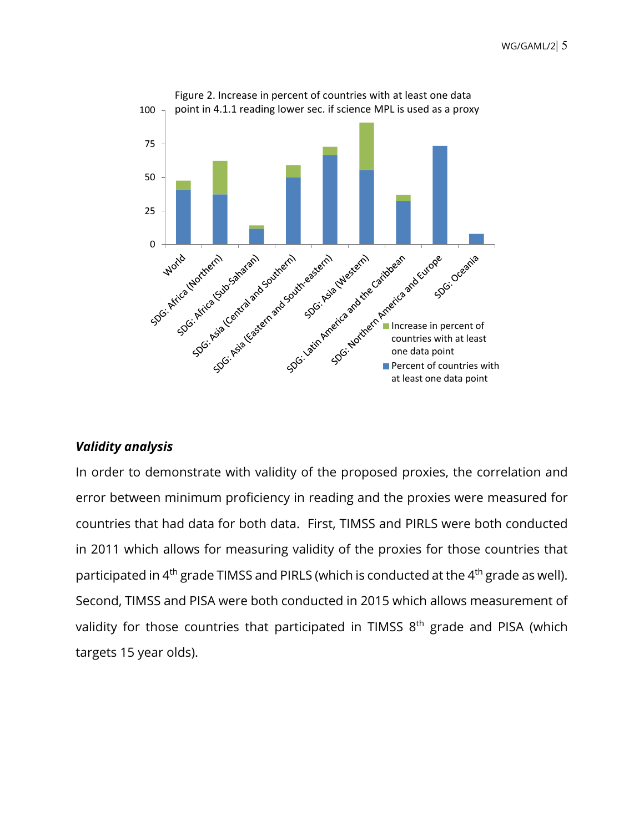

## *Validity analysis*

In order to demonstrate with validity of the proposed proxies, the correlation and error between minimum proficiency in reading and the proxies were measured for countries that had data for both data. First, TIMSS and PIRLS were both conducted in 2011 which allows for measuring validity of the proxies for those countries that participated in  $4<sup>th</sup>$  grade TIMSS and PIRLS (which is conducted at the  $4<sup>th</sup>$  grade as well). Second, TIMSS and PISA were both conducted in 2015 which allows measurement of validity for those countries that participated in TIMSS 8<sup>th</sup> grade and PISA (which targets 15 year olds).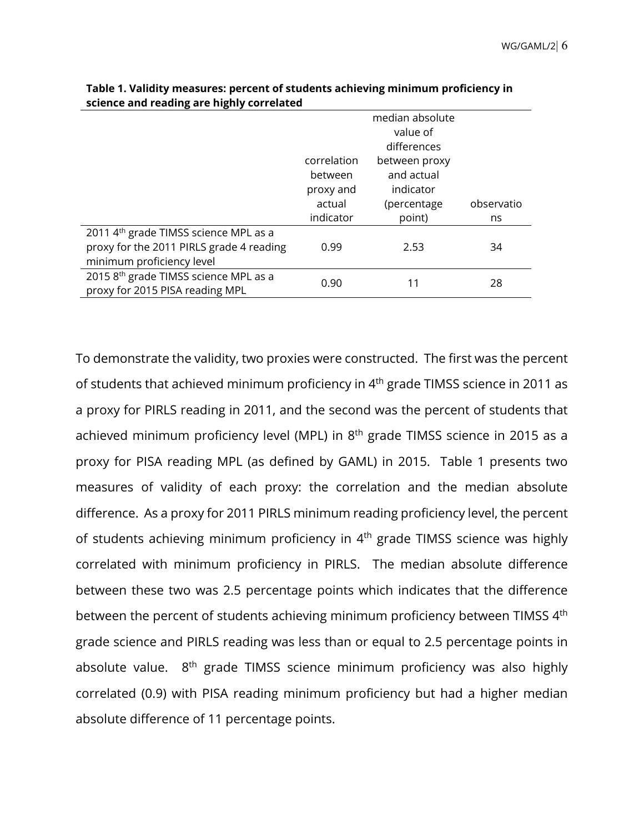|                                                   | median absolute<br>value of |                         |            |  |  |
|---------------------------------------------------|-----------------------------|-------------------------|------------|--|--|
|                                                   | differences                 |                         |            |  |  |
|                                                   | correlation                 | between proxy           |            |  |  |
|                                                   | between<br>proxy and        | and actual<br>indicator |            |  |  |
|                                                   | actual                      | (percentage             | observatio |  |  |
|                                                   | indicator                   | point)                  | ns         |  |  |
| 2011 4 <sup>th</sup> grade TIMSS science MPL as a |                             |                         |            |  |  |
| proxy for the 2011 PIRLS grade 4 reading          | 0.99                        | 2.53                    | 34         |  |  |
| minimum proficiency level                         |                             |                         |            |  |  |
| 2015 8th grade TIMSS science MPL as a             | 0.90                        |                         | 28         |  |  |
| proxy for 2015 PISA reading MPL                   |                             |                         |            |  |  |

| Table 1. Validity measures: percent of students achieving minimum proficiency in |
|----------------------------------------------------------------------------------|
| science and reading are highly correlated                                        |

To demonstrate the validity, two proxies were constructed. The first was the percent of students that achieved minimum proficiency in 4th grade TIMSS science in 2011 as a proxy for PIRLS reading in 2011, and the second was the percent of students that achieved minimum proficiency level (MPL) in  $8<sup>th</sup>$  grade TIMSS science in 2015 as a proxy for PISA reading MPL (as defined by GAML) in 2015. Table 1 presents two measures of validity of each proxy: the correlation and the median absolute difference. As a proxy for 2011 PIRLS minimum reading proficiency level, the percent of students achieving minimum proficiency in  $4<sup>th</sup>$  grade TIMSS science was highly correlated with minimum proficiency in PIRLS. The median absolute difference between these two was 2.5 percentage points which indicates that the difference between the percent of students achieving minimum proficiency between TIMSS 4<sup>th</sup> grade science and PIRLS reading was less than or equal to 2.5 percentage points in absolute value. 8<sup>th</sup> grade TIMSS science minimum proficiency was also highly correlated (0.9) with PISA reading minimum proficiency but had a higher median absolute difference of 11 percentage points.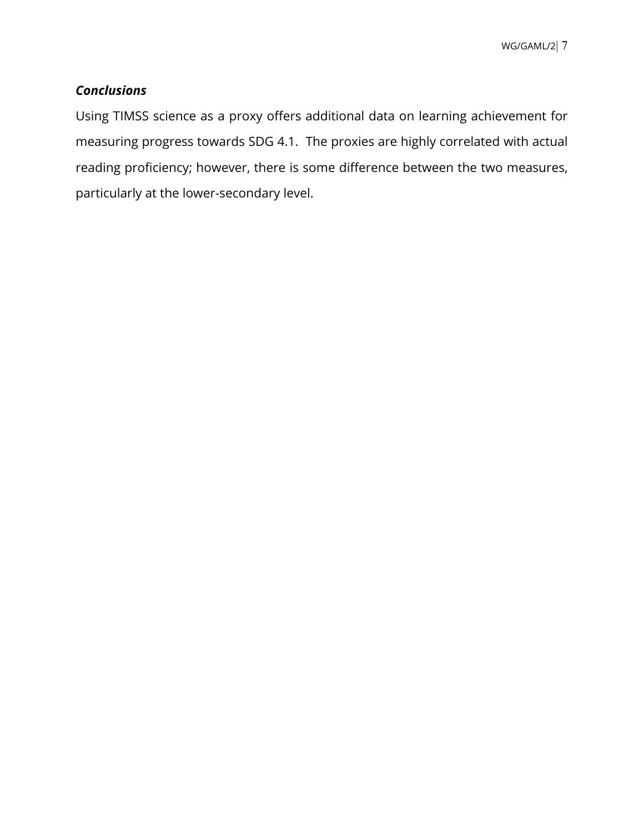# *Conclusions*

Using TIMSS science as a proxy offers additional data on learning achievement for measuring progress towards SDG 4.1. The proxies are highly correlated with actual reading proficiency; however, there is some difference between the two measures, particularly at the lower-secondary level.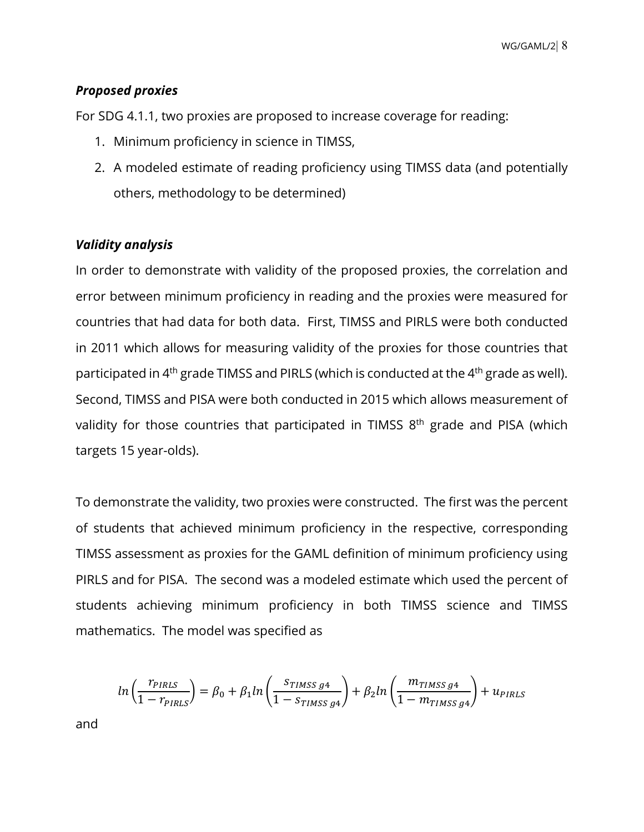# *Proposed proxies*

For SDG 4.1.1, two proxies are proposed to increase coverage for reading:

- 1. Minimum proficiency in science in TIMSS,
- 2. A modeled estimate of reading proficiency using TIMSS data (and potentially others, methodology to be determined)

# *Validity analysis*

In order to demonstrate with validity of the proposed proxies, the correlation and error between minimum proficiency in reading and the proxies were measured for countries that had data for both data. First, TIMSS and PIRLS were both conducted in 2011 which allows for measuring validity of the proxies for those countries that participated in 4<sup>th</sup> grade TIMSS and PIRLS (which is conducted at the 4<sup>th</sup> grade as well). Second, TIMSS and PISA were both conducted in 2015 which allows measurement of validity for those countries that participated in TIMSS  $8<sup>th</sup>$  grade and PISA (which targets 15 year-olds).

To demonstrate the validity, two proxies were constructed. The first was the percent of students that achieved minimum proficiency in the respective, corresponding TIMSS assessment as proxies for the GAML definition of minimum proficiency using PIRLS and for PISA. The second was a modeled estimate which used the percent of students achieving minimum proficiency in both TIMSS science and TIMSS mathematics. The model was specified as

$$
ln\left(\frac{r_{PIRLS}}{1-r_{PIRLS}}\right) = \beta_0 + \beta_1 ln\left(\frac{s_{TIMSS\ g4}}{1-s_{TIMSS\ g4}}\right) + \beta_2 ln\left(\frac{m_{TIMSS\ g4}}{1-m_{TIMSS\ g4}}\right) + u_{PIRLS}
$$

and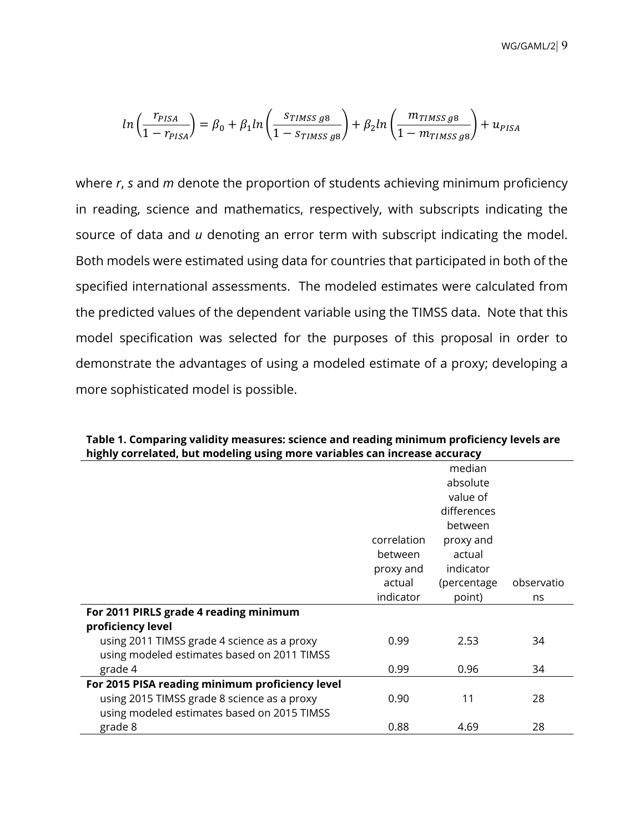WG/GAML/2| 9

$$
ln\left(\frac{r_{PISA}}{1-r_{PISA}}\right) = \beta_0 + \beta_1 ln\left(\frac{s_{\text{TIMSS}} g8}{1-s_{\text{TIMSS}} g8}\right) + \beta_2 ln\left(\frac{m_{\text{TIMSS}} g8}{1-m_{\text{TIMSS}} g8}\right) + u_{PISA}
$$

where *r*, *s* and *m* denote the proportion of students achieving minimum proficiency in reading, science and mathematics, respectively, with subscripts indicating the source of data and *u* denoting an error term with subscript indicating the model. Both models were estimated using data for countries that participated in both of the specified international assessments. The modeled estimates were calculated from the predicted values of the dependent variable using the TIMSS data. Note that this model specification was selected for the purposes of this proposal in order to demonstrate the advantages of using a modeled estimate of a proxy; developing a more sophisticated model is possible.

|                                                 |             | median      |            |
|-------------------------------------------------|-------------|-------------|------------|
|                                                 |             | absolute    |            |
|                                                 |             | value of    |            |
|                                                 |             | differences |            |
|                                                 |             | between     |            |
|                                                 | correlation | proxy and   |            |
|                                                 | between     | actual      |            |
|                                                 | proxy and   | indicator   |            |
|                                                 | actual      | (percentage | observatio |
|                                                 | indicator   | point)      | ns         |
| For 2011 PIRLS grade 4 reading minimum          |             |             |            |
| proficiency level                               |             |             |            |
| using 2011 TIMSS grade 4 science as a proxy     | 0.99        | 2.53        | 34         |
| using modeled estimates based on 2011 TIMSS     |             |             |            |
| grade 4                                         | 0.99        | 0.96        | 34         |
| For 2015 PISA reading minimum proficiency level |             |             |            |
| using 2015 TIMSS grade 8 science as a proxy     | 0.90        | 11          | 28         |
| using modeled estimates based on 2015 TIMSS     |             |             |            |
| grade 8                                         | 0.88        | 4.69        | 28         |
|                                                 |             |             |            |

**Table 1. Comparing validity measures: science and reading minimum proficiency levels are highly correlated, but modeling using more variables can increase accuracy**